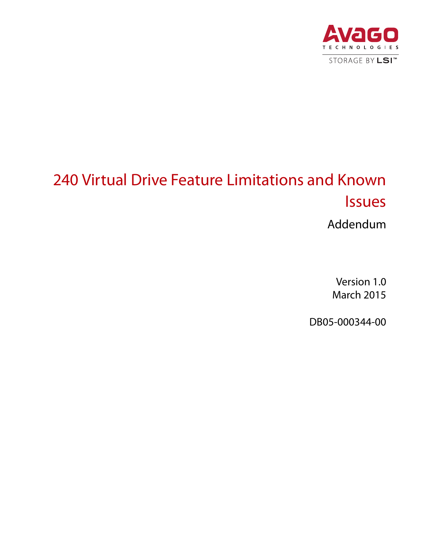

# 240 Virtual Drive Feature Limitations and Known Issues

Addendum

Version 1.0 March 2015

DB05-000344-00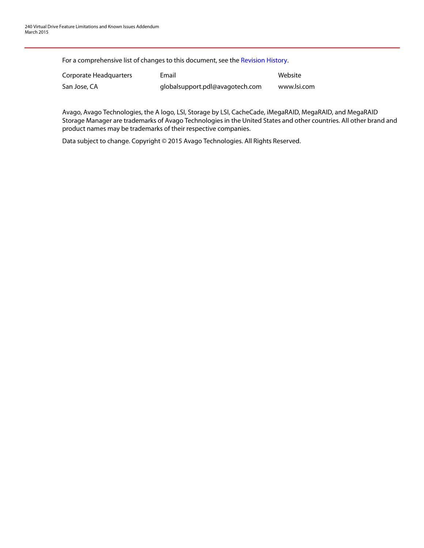For a comprehensive list of changes to this document, see the [Revision History.](#page-6-0)

| Corporate Headquarters | Email                           | Website     |
|------------------------|---------------------------------|-------------|
| San Jose, CA           | globalsupport.pdl@avagotech.com | www.lsi.com |

Avago, Avago Technologies, the A logo, LSI, Storage by LSI, CacheCade, iMegaRAID, MegaRAID, and MegaRAID Storage Manager are trademarks of Avago Technologies in the United States and other countries. All other brand and product names may be trademarks of their respective companies.

Data subject to change. Copyright © 2015 Avago Technologies. All Rights Reserved.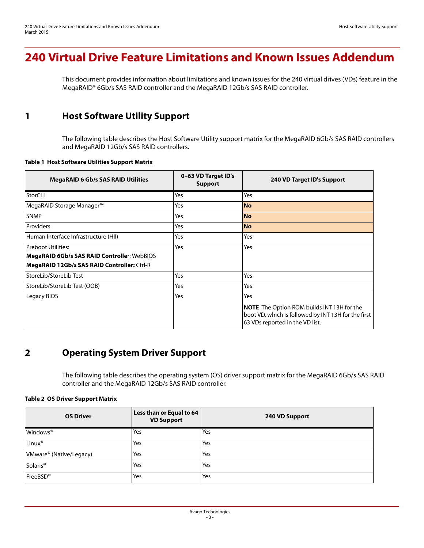# **240 Virtual Drive Feature Limitations and Known Issues Addendum**

This document provides information about limitations and known issues for the 240 virtual drives (VDs) feature in the MegaRAID® 6Gb/s SAS RAID controller and the MegaRAID 12Gb/s SAS RAID controller.

# **1 Host Software Utility Support**

The following table describes the Host Software Utility support matrix for the MegaRAID 6Gb/s SAS RAID controllers and MegaRAID 12Gb/s SAS RAID controllers.

### **Table 1 Host Software Utilities Support Matrix**

| <b>MegaRAID 6 Gb/s SAS RAID Utilities</b>          | 0-63 VD Target ID's<br><b>Support</b> | 240 VD Target ID's Support                                                                                                                  |
|----------------------------------------------------|---------------------------------------|---------------------------------------------------------------------------------------------------------------------------------------------|
| StorCLI                                            | Yes                                   | Yes                                                                                                                                         |
| MegaRAID Storage Manager <sup>™</sup>              | Yes                                   | <b>No</b>                                                                                                                                   |
| <b>SNMP</b>                                        | Yes                                   | <b>No</b>                                                                                                                                   |
| Providers                                          | Yes                                   | <b>No</b>                                                                                                                                   |
| Human Interface Infrastructure (HII)               | Yes                                   | Yes                                                                                                                                         |
| <b>Preboot Utilities:</b>                          | Yes                                   | Yes                                                                                                                                         |
| MegaRAID 6Gb/s SAS RAID Controller: WebBIOS        |                                       |                                                                                                                                             |
| <b>MegaRAID 12Gb/s SAS RAID Controller: Ctrl-R</b> |                                       |                                                                                                                                             |
| StoreLib/StoreLib Test                             | Yes                                   | Yes                                                                                                                                         |
| StoreLib/StoreLib Test (OOB)                       | Yes                                   | Yes                                                                                                                                         |
| Legacy BIOS                                        | Yes                                   | Yes                                                                                                                                         |
|                                                    |                                       | <b>NOTE</b> The Option ROM builds INT 13H for the<br>boot VD, which is followed by INT 13H for the first<br>63 VDs reported in the VD list. |

# **2 Operating System Driver Support**

The following table describes the operating system (OS) driver support matrix for the MegaRAID 6Gb/s SAS RAID controller and the MegaRAID 12Gb/s SAS RAID controller.

### **Table 2 OS Driver Support Matrix**

| <b>OS Driver</b>                    | Less than or Equal to 64<br><b>VD Support</b> | 240 VD Support |
|-------------------------------------|-----------------------------------------------|----------------|
| Windows <sup>®</sup>                | Yes                                           | Yes            |
| Linux®                              | Yes                                           | Yes            |
| VMware <sup>®</sup> (Native/Legacy) | Yes                                           | Yes            |
| Solaris <sup>®</sup>                | Yes                                           | Yes            |
| FreeBSD®                            | Yes                                           | Yes            |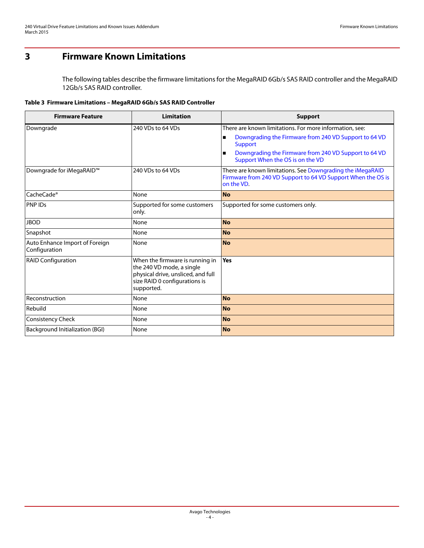# **3 Firmware Known Limitations**

The following tables describe the firmware limitations for the MegaRAID 6Gb/s SAS RAID controller and the MegaRAID 12Gb/s SAS RAID controller.

**Table 3 Firmware Limitations – MegaRAID 6Gb/s SAS RAID Controller**

| <b>Firmware Feature</b>                         | <b>Limitation</b>                                                                                                                                 | <b>Support</b>                                                                                                                           |
|-------------------------------------------------|---------------------------------------------------------------------------------------------------------------------------------------------------|------------------------------------------------------------------------------------------------------------------------------------------|
| Downgrade                                       | 240 VDs to 64 VDs                                                                                                                                 | There are known limitations. For more information, see:                                                                                  |
|                                                 |                                                                                                                                                   | Downgrading the Firmware from 240 VD Support to 64 VD<br>$\blacksquare$<br><b>Support</b>                                                |
|                                                 |                                                                                                                                                   | Downgrading the Firmware from 240 VD Support to 64 VD<br>$\blacksquare$<br>Support When the OS is on the VD                              |
| Downgrade for iMegaRAID <sup>™</sup>            | 240 VDs to 64 VDs                                                                                                                                 | There are known limitations. See Downgrading the iMegaRAID<br>Firmware from 240 VD Support to 64 VD Support When the OS is<br>on the VD. |
| CacheCade <sup>®</sup>                          | None                                                                                                                                              | <b>No</b>                                                                                                                                |
| PNP IDs                                         | Supported for some customers<br>only.                                                                                                             | Supported for some customers only.                                                                                                       |
| <b>JBOD</b>                                     | None                                                                                                                                              | <b>No</b>                                                                                                                                |
| Snapshot                                        | None                                                                                                                                              | <b>No</b>                                                                                                                                |
| Auto Enhance Import of Foreign<br>Configuration | None                                                                                                                                              | <b>No</b>                                                                                                                                |
| <b>RAID Configuration</b>                       | When the firmware is running in<br>the 240 VD mode, a single<br>physical drive, unsliced, and full<br>size RAID 0 configurations is<br>supported. | Yes                                                                                                                                      |
| Reconstruction                                  | None                                                                                                                                              | <b>No</b>                                                                                                                                |
| Rebuild                                         | None                                                                                                                                              | <b>No</b>                                                                                                                                |
| Consistency Check                               | None                                                                                                                                              | <b>No</b>                                                                                                                                |
| Background Initialization (BGI)                 | None                                                                                                                                              | <b>No</b>                                                                                                                                |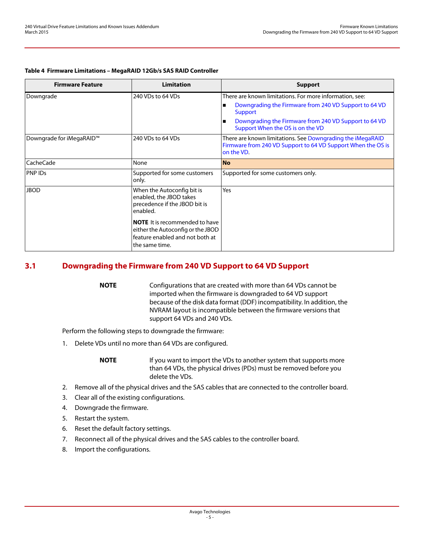### **Table 4 Firmware Limitations – MegaRAID 12Gb/s SAS RAID Controller**

| <b>Firmware Feature</b>              | Limitation                                                                                                                      | <b>Support</b>                                                                                                                                                                                                                                                      |
|--------------------------------------|---------------------------------------------------------------------------------------------------------------------------------|---------------------------------------------------------------------------------------------------------------------------------------------------------------------------------------------------------------------------------------------------------------------|
| Downgrade                            | 240 VDs to 64 VDs                                                                                                               | There are known limitations. For more information, see:<br>Downgrading the Firmware from 240 VD Support to 64 VD<br>$\blacksquare$<br><b>Support</b><br>Downgrading the Firmware from 240 VD Support to 64 VD<br>$\blacksquare$<br>Support When the OS is on the VD |
| Downgrade for iMegaRAID <sup>™</sup> | 240 VDs to 64 VDs                                                                                                               | There are known limitations. See Downgrading the iMegaRAID<br>Firmware from 240 VD Support to 64 VD Support When the OS is<br>on the VD.                                                                                                                            |
| CacheCade                            | None                                                                                                                            | <b>No</b>                                                                                                                                                                                                                                                           |
| <b>PNPIDs</b>                        | Supported for some customers<br>only.                                                                                           | Supported for some customers only.                                                                                                                                                                                                                                  |
| <b>JBOD</b>                          | When the Autoconfig bit is<br>enabled, the JBOD takes<br>precedence if the JBOD bit is<br>enabled.                              | Yes                                                                                                                                                                                                                                                                 |
|                                      | <b>NOTE</b> It is recommended to have<br>either the Autoconfig or the JBOD<br>feature enabled and not both at<br>the same time. |                                                                                                                                                                                                                                                                     |

### <span id="page-4-0"></span>**3.1 Downgrading the Firmware from 240 VD Support to 64 VD Support**

**NOTE** Configurations that are created with more than 64 VDs cannot be imported when the firmware is downgraded to 64 VD support because of the disk data format (DDF) incompatibility. In addition, the NVRAM layout is incompatible between the firmware versions that support 64 VDs and 240 VDs.

Perform the following steps to downgrade the firmware:

1. Delete VDs until no more than 64 VDs are configured.

**NOTE** If you want to import the VDs to another system that supports more than 64 VDs, the physical drives (PDs) must be removed before you delete the VDs.

- 2. Remove all of the physical drives and the SAS cables that are connected to the controller board.
- 3. Clear all of the existing configurations.
- 4. Downgrade the firmware.
- 5. Restart the system.
- 6. Reset the default factory settings.
- 7. Reconnect all of the physical drives and the SAS cables to the controller board.
- 8. Import the configurations.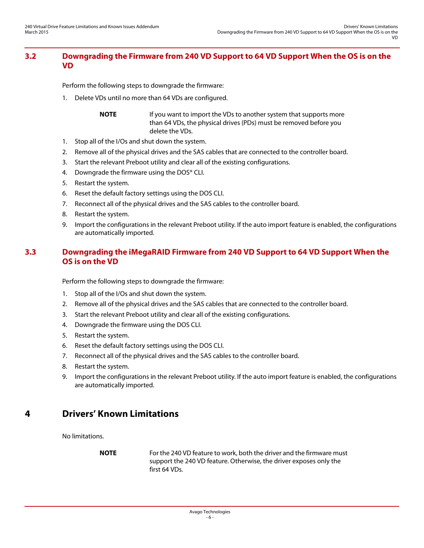### <span id="page-5-0"></span>**3.2 Downgrading the Firmware from 240 VD Support to 64 VD Support When the OS is on the VD**

Perform the following steps to downgrade the firmware:

1. Delete VDs until no more than 64 VDs are configured.

**NOTE** If you want to import the VDs to another system that supports more than 64 VDs, the physical drives (PDs) must be removed before you delete the VDs.

- 1. Stop all of the I/Os and shut down the system.
- 2. Remove all of the physical drives and the SAS cables that are connected to the controller board.
- 3. Start the relevant Preboot utility and clear all of the existing configurations.
- 4. Downgrade the firmware using the DOS® CLI.
- 5. Restart the system.
- 6. Reset the default factory settings using the DOS CLI.
- 7. Reconnect all of the physical drives and the SAS cables to the controller board.
- 8. Restart the system.
- 9. Import the configurations in the relevant Preboot utility. If the auto import feature is enabled, the configurations are automatically imported.

## <span id="page-5-1"></span>**3.3 Downgrading the iMegaRAID Firmware from 240 VD Support to 64 VD Support When the OS is on the VD**

Perform the following steps to downgrade the firmware:

- 1. Stop all of the I/Os and shut down the system.
- 2. Remove all of the physical drives and the SAS cables that are connected to the controller board.
- 3. Start the relevant Preboot utility and clear all of the existing configurations.
- 4. Downgrade the firmware using the DOS CLI.
- 5. Restart the system.
- 6. Reset the default factory settings using the DOS CLI.
- 7. Reconnect all of the physical drives and the SAS cables to the controller board.
- 8. Restart the system.
- 9. Import the configurations in the relevant Preboot utility. If the auto import feature is enabled, the configurations are automatically imported.

# **4 Drivers' Known Limitations**

No limitations.

**NOTE** For the 240 VD feature to work, both the driver and the firmware must support the 240 VD feature. Otherwise, the driver exposes only the first 64 VDs.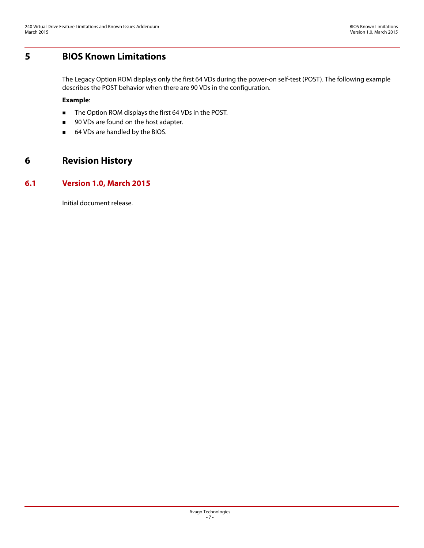# **5 BIOS Known Limitations**

The Legacy Option ROM displays only the first 64 VDs during the power-on self-test (POST). The following example describes the POST behavior when there are 90 VDs in the configuration.

### **Example**:

- The Option ROM displays the first 64 VDs in the POST.
- 90 VDs are found on the host adapter.
- <span id="page-6-0"></span>■ 64 VDs are handled by the BIOS.

# **6 Revision History**

### **6.1 Version 1.0, March 2015**

Initial document release.